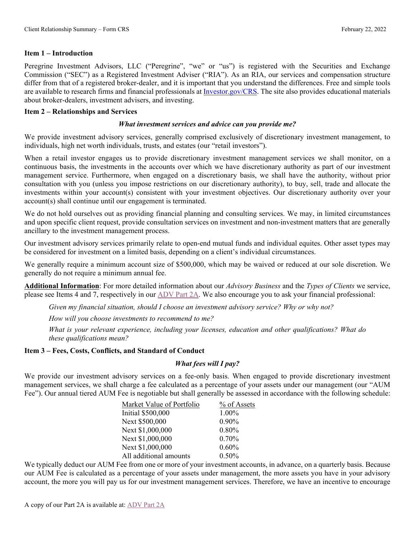### **Item 1 – Introduction**

Peregrine Investment Advisors, LLC ("Peregrine", "we" or "us") is registered with the Securities and Exchange Commission ("SEC") as a Registered Investment Adviser ("RIA"). As an RIA, our services and compensation structure differ from that of a registered broker-dealer, and it is important that you understand the differences. Free and simple tools are available to research firms and financial professionals at [Investor.gov/CRS.](http://www.investor.gov/CRS) The site also provides educational materials about broker-dealers, investment advisers, and investing.

### **Item 2 – Relationships and Services**

### *What investment services and advice can you provide me?*

We provide investment advisory services, generally comprised exclusively of discretionary investment management, to individuals, high net worth individuals, trusts, and estates (our "retail investors").

When a retail investor engages us to provide discretionary investment management services we shall monitor, on a continuous basis, the investments in the accounts over which we have discretionary authority as part of our investment management service. Furthermore, when engaged on a discretionary basis, we shall have the authority, without prior consultation with you (unless you impose restrictions on our discretionary authority), to buy, sell, trade and allocate the investments within your account(s) consistent with your investment objectives. Our discretionary authority over your account(s) shall continue until our engagement is terminated.

We do not hold ourselves out as providing financial planning and consulting services. We may, in limited circumstances and upon specific client request, provide consultation services on investment and non-investment matters that are generally ancillary to the investment management process.

Our investment advisory services primarily relate to open-end mutual funds and individual equites. Other asset types may be considered for investment on a limited basis, depending on a client's individual circumstances.

We generally require a minimum account size of \$500,000, which may be waived or reduced at our sole discretion. We generally do not require a minimum annual fee.

**Additional Information**: For more detailed information about our *Advisory Business* and the *Types of Clients* we service, please see Items 4 and 7, respectively in our [ADV Part 2A.](https://www.peregrineinvest.com/files/Peregrine_Brochure_20220218.pdf) We also encourage you to ask your financial professional:

*Given my financial situation, should I choose an investment advisory service? Why or why not?*

*How will you choose investments to recommend to me?*

*What is your relevant experience, including your licenses, education and other qualifications? What do these qualifications mean?*

## **Item 3 – Fees, Costs, Conflicts, and Standard of Conduct**

## *What fees will I pay?*

We provide our investment advisory services on a fee-only basis. When engaged to provide discretionary investment management services, we shall charge a fee calculated as a percentage of your assets under our management (our "AUM Fee"). Our annual tiered AUM Fee is negotiable but shall generally be assessed in accordance with the following schedule:

| Market Value of Portfolio | % of Assets |
|---------------------------|-------------|
| <b>Initial \$500,000</b>  | 1.00%       |
| Next \$500,000            | $0.90\%$    |
| Next \$1,000,000          | 0.80%       |
| Next \$1,000,000          | 0.70%       |
| Next \$1,000,000          | 0.60%       |
| All additional amounts    | 0.50%       |

We typically deduct our AUM Fee from one or more of your investment accounts, in advance, on a quarterly basis. Because our AUM Fee is calculated as a percentage of your assets under management, the more assets you have in your advisory account, the more you will pay us for our investment management services. Therefore, we have an incentive to encourage